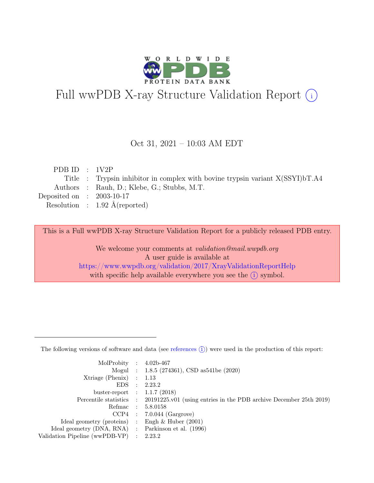

# Full wwPDB X-ray Structure Validation Report  $(i)$

#### Oct 31, 2021 – 10:03 AM EDT

| PDB ID : $1V2P$             |                                                                                  |
|-----------------------------|----------------------------------------------------------------------------------|
|                             | Title : Trypsin inhibitor in complex with bovine trypsin variant $X(SSYI) bT.A4$ |
|                             | Authors : Rauh, D.; Klebe, G.; Stubbs, M.T.                                      |
| Deposited on : $2003-10-17$ |                                                                                  |
|                             | Resolution : $1.92 \text{ Å}$ (reported)                                         |
|                             |                                                                                  |

This is a Full wwPDB X-ray Structure Validation Report for a publicly released PDB entry.

We welcome your comments at validation@mail.wwpdb.org A user guide is available at <https://www.wwpdb.org/validation/2017/XrayValidationReportHelp> with specific help available everywhere you see the  $(i)$  symbol.

The following versions of software and data (see [references](https://www.wwpdb.org/validation/2017/XrayValidationReportHelp#references)  $(i)$ ) were used in the production of this report:

| MolProbity : $4.02b-467$                            |                                                                                            |
|-----------------------------------------------------|--------------------------------------------------------------------------------------------|
|                                                     | Mogul : $1.8.5$ (274361), CSD as 541be (2020)                                              |
| $Xtriangle (Phenix)$ : 1.13                         |                                                                                            |
|                                                     | EDS : 2.23.2                                                                               |
| buster-report : $1.1.7$ (2018)                      |                                                                                            |
|                                                     | Percentile statistics : 20191225.v01 (using entries in the PDB archive December 25th 2019) |
|                                                     | Refmac : 5.8.0158                                                                          |
|                                                     | $CCP4$ : 7.0.044 (Gargrove)                                                                |
| Ideal geometry (proteins) : Engh $\&$ Huber (2001)  |                                                                                            |
| Ideal geometry (DNA, RNA) : Parkinson et al. (1996) |                                                                                            |
| Validation Pipeline (wwPDB-VP) : 2.23.2             |                                                                                            |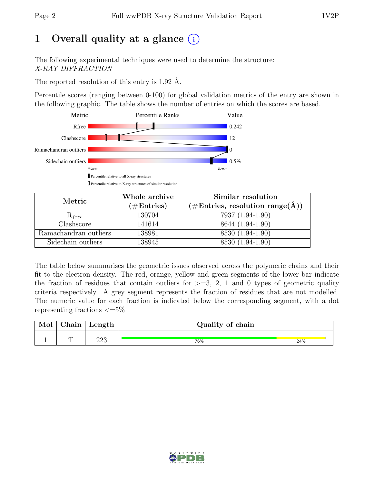## 1 Overall quality at a glance  $(i)$

The following experimental techniques were used to determine the structure: X-RAY DIFFRACTION

The reported resolution of this entry is 1.92 Å.

Percentile scores (ranging between 0-100) for global validation metrics of the entry are shown in the following graphic. The table shows the number of entries on which the scores are based.



| Metric                | Whole archive | Similar resolution                                           |
|-----------------------|---------------|--------------------------------------------------------------|
|                       | $(\#Entries)$ | $(\# \text{Entries}, \text{ resolution } \text{range}(\AA))$ |
| $\kappa_{free}$       | 130704        | 7937 (1.94-1.90)                                             |
| Clashscore            | 141614        | 8644 (1.94-1.90)                                             |
| Ramachandran outliers | 138981        | 8530 (1.94-1.90)                                             |
| Sidechain outliers    | 138945        | 8530 (1.94-1.90)                                             |

The table below summarises the geometric issues observed across the polymeric chains and their fit to the electron density. The red, orange, yellow and green segments of the lower bar indicate the fraction of residues that contain outliers for  $>=$  3, 2, 1 and 0 types of geometric quality criteria respectively. A grey segment represents the fraction of residues that are not modelled. The numeric value for each fraction is indicated below the corresponding segment, with a dot representing fractions  $\leq=5\%$ 

| $\sim$ $\sim$<br>hain | Length     | Quality of chain |     |
|-----------------------|------------|------------------|-----|
|                       |            |                  |     |
|                       | פרה<br>⊿∠ບ | 76%              | 24% |

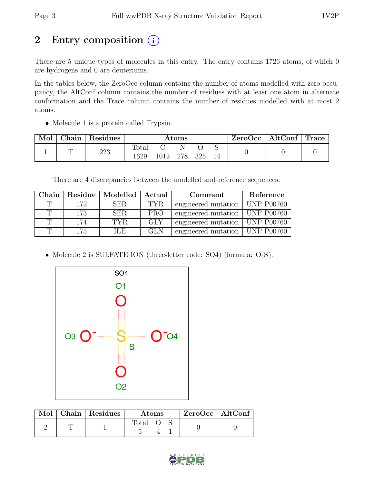# 2 Entry composition  $(i)$

There are 5 unique types of molecules in this entry. The entry contains 1726 atoms, of which 0 are hydrogens and 0 are deuteriums.

In the tables below, the ZeroOcc column contains the number of atoms modelled with zero occupancy, the AltConf column contains the number of residues with at least one atom in alternate conformation and the Trace column contains the number of residues modelled with at most 2 atoms.

• Molecule 1 is a protein called Trypsin.

| Mol | Chain   Residues | Atoms                  |          |  | $ZeroOcc \   \$ AltConf | $\mid$ Trace $\mid$ |  |  |
|-----|------------------|------------------------|----------|--|-------------------------|---------------------|--|--|
|     | 223              | $\text{Total}$<br>1629 | 1012 278 |  | 325                     |                     |  |  |

There are 4 discrepancies between the modelled and reference sequences:

| Chain |     | Residue   Modelled   Actual |            | Comment                          | Reference |
|-------|-----|-----------------------------|------------|----------------------------------|-----------|
| T     | 172 | SER.                        | TYR.       | engineered mutation   UNP P00760 |           |
|       | 173 | SER.                        | <b>PRO</b> | engineered mutation   UNP P00760 |           |
|       | 174 | TYR.                        | GLY        | engineered mutation   UNP P00760 |           |
| ጥ     | 175 | ILE.                        | GLN        | engineered mutation   UNP P00760 |           |

• Molecule 2 is SULFATE ION (three-letter code: SO4) (formula:  $O_4S$ ).



|  | Mol   Chain   Residues | <b>Atoms</b> |  |  | ZeroOcc   AltConf |
|--|------------------------|--------------|--|--|-------------------|
|  |                        | Total        |  |  |                   |

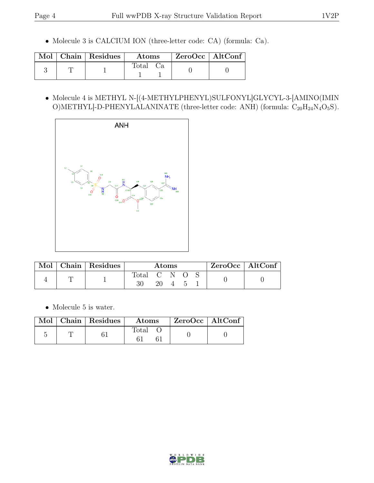• Molecule 3 is CALCIUM ION (three-letter code: CA) (formula: Ca).

|  | Mol   Chain   Residues | $\rm{Atoms}$   | ZeroOcc   AltConf |  |
|--|------------------------|----------------|-------------------|--|
|  |                        | $\text{Total}$ |                   |  |

• Molecule 4 is METHYL N-[(4-METHYLPHENYL)SULFONYL]GLYCYL-3-[AMINO(IMIN O)METHYL]-D-PHENYLALANINATE (three-letter code: ANH) (formula:  $C_{20}H_{24}N_4O_5S$ ).



| Mol | Chain   Residues | Atoms       |  |  |  | $ZeroOcc$   AltConf |  |  |
|-----|------------------|-------------|--|--|--|---------------------|--|--|
|     |                  | Total C N O |  |  |  |                     |  |  |

• Molecule 5 is water.

|  | $\boxed{\text{Mol}}$ Chain   Residues | $\rm{Atoms}$ | $\mid$ ZeroOcc $\mid$ AltConf $\mid$ |  |
|--|---------------------------------------|--------------|--------------------------------------|--|
|  |                                       | Total        |                                      |  |

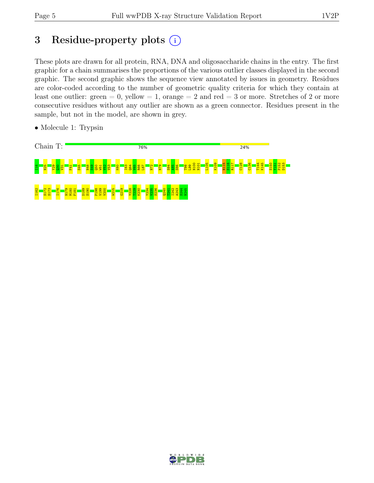## 3 Residue-property plots  $(i)$

These plots are drawn for all protein, RNA, DNA and oligosaccharide chains in the entry. The first graphic for a chain summarises the proportions of the various outlier classes displayed in the second graphic. The second graphic shows the sequence view annotated by issues in geometry. Residues are color-coded according to the number of geometric quality criteria for which they contain at least one outlier: green  $= 0$ , yellow  $= 1$ , orange  $= 2$  and red  $= 3$  or more. Stretches of 2 or more consecutive residues without any outlier are shown as a green connector. Residues present in the sample, but not in the model, are shown in grey.

• Molecule 1: Trypsin



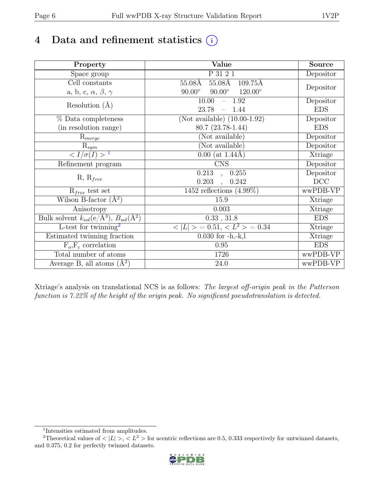## 4 Data and refinement statistics  $(i)$

| Property                                                             | Value                                                        | Source     |
|----------------------------------------------------------------------|--------------------------------------------------------------|------------|
| Space group                                                          | P 31 2 1                                                     | Depositor  |
| Cell constants                                                       | $55.08\text{\AA}$<br>$109.75\text{\AA}$<br>$55.08\text{\AA}$ |            |
| a, b, c, $\alpha$ , $\beta$ , $\gamma$                               | $90.00^\circ$<br>$120.00^\circ$<br>$90.00^\circ$             | Depositor  |
| Resolution $(A)$                                                     | $-1.92$<br>10.00                                             | Depositor  |
|                                                                      | 23.78<br>1.44<br>$\overline{\phantom{0}}$                    | <b>EDS</b> |
| % Data completeness                                                  | (Not available) $(10.00-1.92)$                               | Depositor  |
| (in resolution range)                                                | $80.7(23.78-1.44)$                                           | <b>EDS</b> |
| $R_{merge}$                                                          | (Not available)                                              | Depositor  |
| $\mathrm{R}_{sym}$                                                   | (Not available)                                              | Depositor  |
| $\langle I/\sigma(I) \rangle^{-1}$                                   | $0.00$ (at 1.44Å)                                            | Xtriage    |
| Refinement program                                                   | $\overline{\text{C}}\text{NS}$                               | Depositor  |
|                                                                      | 0.213<br>0.255<br>$\overline{a}$                             | Depositor  |
| $R, R_{free}$                                                        | 0.203<br>0.242                                               | DCC        |
| $R_{free}$ test set                                                  | 1452 reflections $(4.99\%)$                                  | wwPDB-VP   |
| Wilson B-factor $(A^2)$                                              | 15.9                                                         | Xtriage    |
| Anisotropy                                                           | 0.003                                                        | Xtriage    |
| Bulk solvent $k_{sol}(e/\mathring{A}^3)$ , $B_{sol}(\mathring{A}^2)$ | 0.33, 31.8                                                   | <b>EDS</b> |
| L-test for twinning <sup>2</sup>                                     | $>$ = 0.51, < $L^2$ > = 0.34<br>< L                          | Xtriage    |
| Estimated twinning fraction                                          | $0.030$ for $-h,-k,l$                                        | Xtriage    |
| $F_o, F_c$ correlation                                               | 0.95                                                         | <b>EDS</b> |
| Total number of atoms                                                | 1726                                                         | wwPDB-VP   |
| Average B, all atoms $(A^2)$                                         | 24.0                                                         | wwPDB-VP   |

Xtriage's analysis on translational NCS is as follows: The largest off-origin peak in the Patterson function is 7.22% of the height of the origin peak. No significant pseudotranslation is detected.

<sup>&</sup>lt;sup>2</sup>Theoretical values of  $\langle |L| \rangle$ ,  $\langle L^2 \rangle$  for acentric reflections are 0.5, 0.333 respectively for untwinned datasets, and 0.375, 0.2 for perfectly twinned datasets.



<span id="page-5-1"></span><span id="page-5-0"></span><sup>1</sup> Intensities estimated from amplitudes.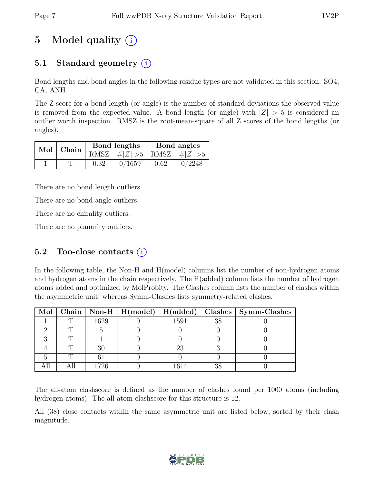## 5 Model quality  $(i)$

## 5.1 Standard geometry  $(i)$

Bond lengths and bond angles in the following residue types are not validated in this section: SO4, CA, ANH

The Z score for a bond length (or angle) is the number of standard deviations the observed value is removed from the expected value. A bond length (or angle) with  $|Z| > 5$  is considered an outlier worth inspection. RMSZ is the root-mean-square of all Z scores of the bond lengths (or angles).

| Mol   Chain |      | Bond lengths                    | Bond angles |        |  |
|-------------|------|---------------------------------|-------------|--------|--|
|             |      | RMSZ $ #Z  > 5$ RMSZ $ #Z  > 5$ |             |        |  |
|             | 0.32 | 0/1659                          | 0.62        | 0/2248 |  |

There are no bond length outliers.

There are no bond angle outliers.

There are no chirality outliers.

There are no planarity outliers.

#### 5.2 Too-close contacts  $(i)$

In the following table, the Non-H and H(model) columns list the number of non-hydrogen atoms and hydrogen atoms in the chain respectively. The H(added) column lists the number of hydrogen atoms added and optimized by MolProbity. The Clashes column lists the number of clashes within the asymmetric unit, whereas Symm-Clashes lists symmetry-related clashes.

|  |      |      |    | Mol   Chain   Non-H   H(model)   H(added)   Clashes   Symm-Clashes |
|--|------|------|----|--------------------------------------------------------------------|
|  | 1629 | 1591 | 38 |                                                                    |
|  |      |      |    |                                                                    |
|  |      |      |    |                                                                    |
|  |      |      |    |                                                                    |
|  |      |      |    |                                                                    |
|  | 726  |      |    |                                                                    |

The all-atom clashscore is defined as the number of clashes found per 1000 atoms (including hydrogen atoms). The all-atom clashscore for this structure is 12.

All (38) close contacts within the same asymmetric unit are listed below, sorted by their clash magnitude.

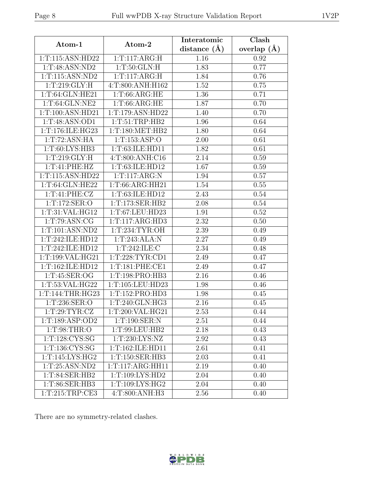| Atom-1               | Atom-2                      | Interatomic       | Clash         |
|----------------------|-----------------------------|-------------------|---------------|
|                      |                             | distance $(A)$    | overlap $(A)$ |
| 1:T:115:ASN:HD22     | 1: T:117: ARG:H             | 1.16              | 0.92          |
| 1: T:48: ASN:ND2     | 1: T:50: GLN: H             | 1.83              | 0.77          |
| 1: T: 115: ASN: ND2  | 1: T:117: ARG:H             | 1.84              | 0.76          |
| 1: T:219: GLY: H     | 4:T:800:ANH:H162            | 1.52              | 0.75          |
| 1: T: 64: GLN: HE21  | 1: T:66: ARG:HE             | 1.36              | 0.71          |
| 1: T:64: GLN:NE2     | 1: T:66: ARG:HE             | 1.87              | 0.70          |
| 1:T:100:ASN:HD21     | 1:T:179:ASN:HD22            | 1.40              | 0.70          |
| 1:T:48:ASN:OD1       | 1: T: 51: TRP: HB2          | 1.96              | 0.64          |
| 1:T:176:ILE:HG23     | 1: T: 180: MET: HB2         | 1.80              | 0.64          |
| 1:T:72:ASN:HA        | 1: T: 153: ASP: O           | 2.00              | 0.61          |
| 1:T:60:LYS:HB3       | 1:T:63:ILE:HD11             | 1.82              | 0.61          |
| 1: T:219: GLY: H     | 4:T:800:ANH:C16             | 2.14              | 0.59          |
| 1:T:41:PHE:HZ        | 1:T:63:ILE:HD12             | 1.67              | 0.59          |
| 1:T:115:ASN:HD22     | 1: T:117: ARG:N             | 1.94              | 0.57          |
| 1: T: 64: GLN: HE22  | 1: T:66: ARG:HH21           | 1.54              | 0.55          |
| 1: T:41: PHE: CZ     | 1: T: 63: ILE: HD12         | 2.43              | 0.54          |
| 1: T: 172: SER: O    | 1:T:173:SER:HB2             | 2.08              | 0.54          |
| 1: T:31: VAL: HG12   | 1:T:67:LEU:HD23             | 1.91              | 0.52          |
| 1: T: 79: ASN: CG    | 1: T: 117: ARG: HD3         | 2.32              | 0.50          |
| 1: T: 101: ASN: ND2  | 1:T:234:TYR:OH              | $2.39\,$          | 0.49          |
| 1:T:242:ILE:HD12     | 1: T:243:ALA:N              | 2.27              | 0.49          |
| 1:T:242:ILE:HD12     | 1: T:242: ILE:C             | 2.34              | 0.48          |
| 1: T: 199: VAL: HG21 | 1: T: 228: TYR: CD1         | 2.49              | 0.47          |
| 1:T:162:ILE:HD12     | 1: T: 181: PHE: CE1         | 2.49              | 0.47          |
| 1:T:45:SER:OG        | 1:T:198:PRO:HB3             | 2.16              | 0.46          |
| 1:T:53:VAL:HG22      | 1:T:105:LEU:HD23            | 1.98              | 0.46          |
| 1:T:144:THR:HG23     | 1: T: 152: PRO: HD3         | 1.98              | 0.45          |
| 1: T: 236: SER:O     | 1: T:240: GLN: HG3          | 2.16              | 0.45          |
| 1:T:29:TYR:CZ        | 1:T:200:VAL:HG21            | 2.53              | 0.44          |
| 1:T:189:ASP:OD2      | 1:T:190:SER:N               | 2.51              | 0.44          |
| 1: T:98: THR:O       | 1:T:99:LEU:HB2              | 2.18              | 0.43          |
| 1: T: 128: CYS:SG    | 1:T:230:LYS:NZ              | $2.\overline{92}$ | 0.43          |
| 1:T:136:CYS:SG       | 1: T: 162: ILE: HD11        | 2.61              | 0.41          |
| 1:T:145:LYS:HG2      | 1: T: 150: SER: HB3         | 2.03              | 0.41          |
| 1:T:25:ASN:ND2       | 1:T:117:ARG:HH11            | 2.19              | 0.40          |
| 1:T:84:SER:HB2       | 1:T:109:LYS:HD2             | 2.04              | 0.40          |
| 1:T:86:SER:HB3       | 1:T:109:LYS:HG2             | 2.04              | 0.40          |
| 1: T:215: TRP:CE3    | $4:T:800:ANH:\overline{H3}$ | 2.56              | 0.40          |

There are no symmetry-related clashes.

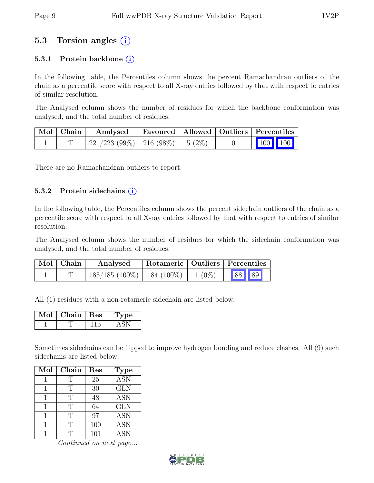## 5.3 Torsion angles (i)

#### 5.3.1 Protein backbone  $(i)$

In the following table, the Percentiles column shows the percent Ramachandran outliers of the chain as a percentile score with respect to all X-ray entries followed by that with respect to entries of similar resolution.

The Analysed column shows the number of residues for which the backbone conformation was analysed, and the total number of residues.

| $\mid$ Mol $\mid$ Chain $\mid$ | Favoured   Allowed   Outliers   Percentiles<br>Analysed |  |  |                         |  |  |
|--------------------------------|---------------------------------------------------------|--|--|-------------------------|--|--|
|                                | $221/223$ (99%)   216 (98%)   5 (2%)                    |  |  | $\vert$ 100 100 $\vert$ |  |  |

There are no Ramachandran outliers to report.

#### 5.3.2 Protein side chains  $(i)$

In the following table, the Percentiles column shows the percent sidechain outliers of the chain as a percentile score with respect to all X-ray entries followed by that with respect to entries of similar resolution.

The Analysed column shows the number of residues for which the sidechain conformation was analysed, and the total number of residues.

| $\mid$ Mol $\mid$ Chain $\mid$ | Analysed                                  |  | Rotameric   Outliers   Percentiles |  |  |  |
|--------------------------------|-------------------------------------------|--|------------------------------------|--|--|--|
|                                | $185/185 (100\%)$ 184 (100%) 1 (0%) 88 89 |  |                                    |  |  |  |

All (1) residues with a non-rotameric sidechain are listed below:

| Chain- | Res | рe |
|--------|-----|----|
|        |     |    |

Sometimes sidechains can be flipped to improve hydrogen bonding and reduce clashes. All (9) such sidechains are listed below:

| Mol | Chain | Res | <b>Type</b> |
|-----|-------|-----|-------------|
|     | Т     | 25  | <b>ASN</b>  |
|     | Т     | 30  | <b>GLN</b>  |
|     | Т     | 48  | <b>ASN</b>  |
|     | Т     | 64  | <b>GLN</b>  |
|     | Т     | 97  | <b>ASN</b>  |
|     | T     | 100 | <b>ASN</b>  |
|     | ጥ     | 101 | <b>ASN</b>  |

Continued on next page...

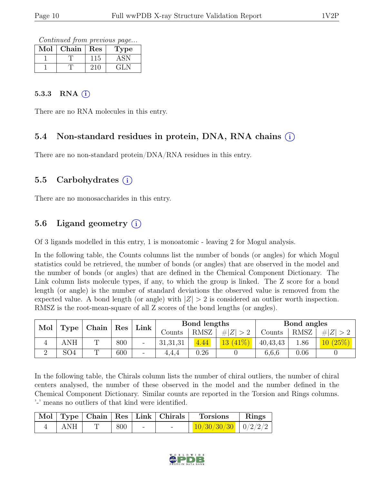Continued from previous page...

| Mol | Chain | Res | Type |
|-----|-------|-----|------|
|     |       | 115 |      |
|     |       |     | GL N |

#### 5.3.3 RNA  $(i)$

There are no RNA molecules in this entry.

#### 5.4 Non-standard residues in protein, DNA, RNA chains (i)

There are no non-standard protein/DNA/RNA residues in this entry.

#### 5.5 Carbohydrates  $(i)$

There are no monosaccharides in this entry.

### 5.6 Ligand geometry  $(i)$

Of 3 ligands modelled in this entry, 1 is monoatomic - leaving 2 for Mogul analysis.

In the following table, the Counts columns list the number of bonds (or angles) for which Mogul statistics could be retrieved, the number of bonds (or angles) that are observed in the model and the number of bonds (or angles) that are defined in the Chemical Component Dictionary. The Link column lists molecule types, if any, to which the group is linked. The Z score for a bond length (or angle) is the number of standard deviations the observed value is removed from the expected value. A bond length (or angle) with  $|Z| > 2$  is considered an outlier worth inspection. RMSZ is the root-mean-square of all Z scores of the bond lengths (or angles).

| Mol | Type |          | Chain |                          |          |             |            |          | Res  | Link          |  | Bond lengths |  |  | Bond angles |  |
|-----|------|----------|-------|--------------------------|----------|-------------|------------|----------|------|---------------|--|--------------|--|--|-------------|--|
|     |      |          |       |                          | Counts   | <b>RMSZ</b> | # Z        | Counts   | RMSZ | $Z\vert$<br># |  |              |  |  |             |  |
|     | ANH  | $\Gamma$ | 800   | $\overline{\phantom{a}}$ | 31,31,31 | 4.44        | $13(41\%)$ | 40,43,43 | 1.86 | $10(25\%)$    |  |              |  |  |             |  |
|     | SO4  | m        | 600   | $\overline{\phantom{a}}$ | 4.4.4    | $0.26\,$    |            | 6,6,6    | 0.06 |               |  |              |  |  |             |  |

In the following table, the Chirals column lists the number of chiral outliers, the number of chiral centers analysed, the number of these observed in the model and the number defined in the Chemical Component Dictionary. Similar counts are reported in the Torsion and Rings columns. '-' means no outliers of that kind were identified.

|     |     |   | Mol   Type   Chain   Res   Link   Chirals | <b>Torsions</b>           | Rings |
|-----|-----|---|-------------------------------------------|---------------------------|-------|
| ANH | 800 | - |                                           | $10/30/30/30$   $0/2/2/2$ |       |

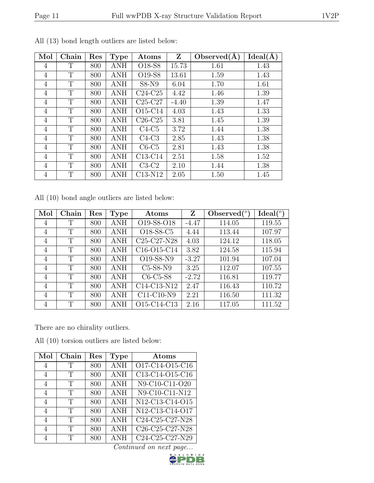| Mol            | Chain | Res | <b>Type</b> | Atoms                            | Z       | Observed $(A)$ | $\bar{I}$ deal $(\AA)$ |
|----------------|-------|-----|-------------|----------------------------------|---------|----------------|------------------------|
| 4              | Т     | 800 | ANH         | O <sub>18</sub> -S <sub>8</sub>  | 15.73   | 1.61           | 1.43                   |
| 4              | T     | 800 | ANH         | O <sub>19</sub> -S <sub>8</sub>  | 13.61   | 1.59           | 1.43                   |
| 4              | T     | 800 | <b>ANH</b>  | $S8-N9$                          | 6.04    | 1.70           | 1.61                   |
| 4              | T     | 800 | ANH         | $C24-C25$                        | 4.42    | 1.46           | 1.39                   |
| 4              | T     | 800 | ANH         | $C25-C27$                        | $-4.40$ | 1.39           | 1.47                   |
| $\overline{4}$ | T     | 800 | ANH         | O <sub>15</sub> -C <sub>14</sub> | 4.03    | 1.43           | 1.33                   |
| $\overline{4}$ | T     | 800 | <b>ANH</b>  | $C26-C25$                        | 3.81    | 1.45           | 1.39                   |
| $\overline{4}$ | T     | 800 | ANH         | $C4-C5$                          | 3.72    | 1.44           | 1.38                   |
| 4              | T     | 800 | ANH         | $C4-C3$                          | 2.85    | 1.43           | 1.38                   |
| 4              | T     | 800 | ANH         | $C6-C5$                          | 2.81    | 1.43           | 1.38                   |
| 4              | T     | 800 | ANH         | $C13-C14$                        | 2.51    | 1.58           | 1.52                   |
| $\overline{4}$ | T     | 800 | ANH         | $C3-C2$                          | 2.10    | 1.44           | 1.38                   |
| $\overline{4}$ | T     | 800 | ANH         | C13-N12                          | 2.05    | 1.50           | 1.45                   |

All (13) bond length outliers are listed below:

All (10) bond angle outliers are listed below:

| Mol | Chain | Res | <b>Type</b> | Atoms                                             | Z       | Observed $\binom{o}{c}$ | $Ideal({}^o)$ |
|-----|-------|-----|-------------|---------------------------------------------------|---------|-------------------------|---------------|
| 4   | T     | 800 | ANH         | O19-S8-O18                                        | $-4.47$ | 114.05                  | 119.55        |
| 4   | Т     | 800 | <b>ANH</b>  | O18-S8-C5                                         | 4.44    | 113.44                  | 107.97        |
| 4   | T     | 800 | ANH         | C <sub>25</sub> -C <sub>27</sub> -N <sub>28</sub> | 4.03    | 124.12                  | 118.05        |
| 4   | T     | 800 | ANH         | C <sub>16</sub> -O <sub>15</sub> -C <sub>14</sub> | 3.82    | 124.58                  | 115.94        |
| 4   | T     | 800 | ANH         | O19-S8-N9                                         | $-3.27$ | 101.94                  | 107.04        |
| 4   | T     | 800 | ANH         | $C5-S8-N9$                                        | 3.25    | 112.07                  | 107.55        |
| 4   | T     | 800 | ANH         | $C6-C5-S8$                                        | $-2.72$ | 116.81                  | 119.77        |
| 4   | T     | 800 | ANH         | $\overline{C}$ 14-C13-N12                         | 2.47    | 116.43                  | 110.72        |
| 4   | T     | 800 | ANH         | C11-C10-N9                                        | 2.21    | 116.50                  | 111.32        |
| 4   | T     | 800 | ANH         | O15-C14-C13                                       | 2.16    | 117.05                  | 111.52        |

There are no chirality outliers.

All (10) torsion outliers are listed below:

| Mol            | Chain | $\operatorname{Res}% \left( \mathcal{N}\right) \equiv\operatorname{Res}(\mathcal{N}_{0},\mathcal{N}_{0})$ | <b>Type</b> | Atoms                                                              |
|----------------|-------|-----------------------------------------------------------------------------------------------------------|-------------|--------------------------------------------------------------------|
| 4              | Т     | 800                                                                                                       | <b>ANH</b>  | O17-C14-O15-C16                                                    |
| $\overline{4}$ | Т     | 800                                                                                                       | <b>ANH</b>  | C13-C14-O15-C16                                                    |
| 4              | T     | 800                                                                                                       | <b>ANH</b>  | N9-C10-C11-O20                                                     |
| 4              | Т     | 800                                                                                                       | <b>ANH</b>  | $\overline{\text{N9-C10-C11-N12}}$                                 |
| $\overline{4}$ | T     | 800                                                                                                       | <b>ANH</b>  | $\overline{N12-C13}$ -C14-O15                                      |
| $\overline{4}$ | T     | 800                                                                                                       | <b>ANH</b>  | N12-C13-C14-O17                                                    |
| 4              | T     | 800                                                                                                       | <b>ANH</b>  | C24-C25-C27-N28                                                    |
| 4              | Т     | 800                                                                                                       | <b>ANH</b>  | C <sub>26</sub> -C <sub>25</sub> -C <sub>27</sub> -N <sub>28</sub> |
|                | Т     | 800                                                                                                       | <b>ANH</b>  | C24-C25-C27-N29                                                    |

Continued on next page...

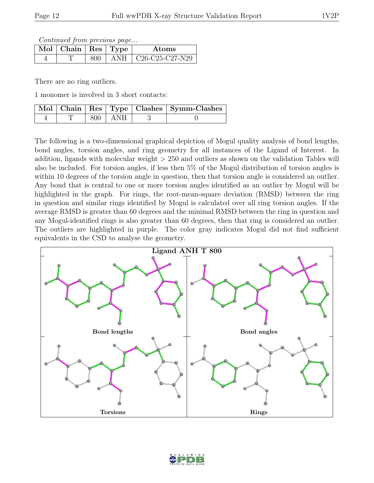Continued from previous page...

| $\mathbb{N}$ ol   Chain   Res   Type ' |     |      | Atoms                                                                     |
|----------------------------------------|-----|------|---------------------------------------------------------------------------|
|                                        | 800 | A NH | $\mid$ C <sub>26</sub> -C <sub>25</sub> -C <sub>27</sub> -N <sub>29</sub> |

There are no ring outliers.

1 monomer is involved in 3 short contacts:

|  |           | Mol   Chain   Res   Type   Clashes   Symm-Clashes |
|--|-----------|---------------------------------------------------|
|  | 800   ANH |                                                   |

The following is a two-dimensional graphical depiction of Mogul quality analysis of bond lengths, bond angles, torsion angles, and ring geometry for all instances of the Ligand of Interest. In addition, ligands with molecular weight > 250 and outliers as shown on the validation Tables will also be included. For torsion angles, if less then 5% of the Mogul distribution of torsion angles is within 10 degrees of the torsion angle in question, then that torsion angle is considered an outlier. Any bond that is central to one or more torsion angles identified as an outlier by Mogul will be highlighted in the graph. For rings, the root-mean-square deviation (RMSD) between the ring in question and similar rings identified by Mogul is calculated over all ring torsion angles. If the average RMSD is greater than 60 degrees and the minimal RMSD between the ring in question and any Mogul-identified rings is also greater than 60 degrees, then that ring is considered an outlier. The outliers are highlighted in purple. The color gray indicates Mogul did not find sufficient equivalents in the CSD to analyse the geometry.



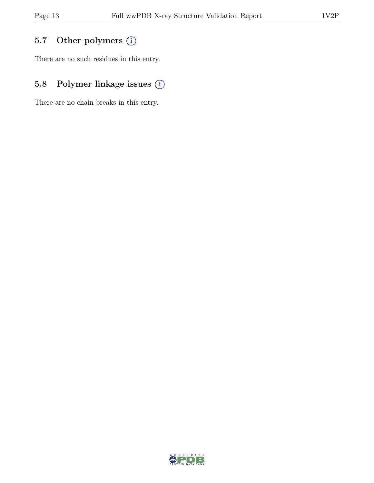## 5.7 Other polymers (i)

There are no such residues in this entry.

## 5.8 Polymer linkage issues  $(i)$

There are no chain breaks in this entry.

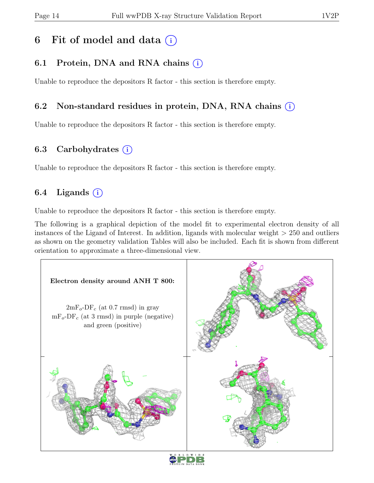## 6 Fit of model and data  $(i)$

## 6.1 Protein, DNA and RNA chains  $(i)$

Unable to reproduce the depositors R factor - this section is therefore empty.

### 6.2 Non-standard residues in protein, DNA, RNA chains (i)

Unable to reproduce the depositors R factor - this section is therefore empty.

### 6.3 Carbohydrates  $(i)$

Unable to reproduce the depositors R factor - this section is therefore empty.

### 6.4 Ligands  $(i)$

Unable to reproduce the depositors R factor - this section is therefore empty.

The following is a graphical depiction of the model fit to experimental electron density of all instances of the Ligand of Interest. In addition, ligands with molecular weight > 250 and outliers as shown on the geometry validation Tables will also be included. Each fit is shown from different orientation to approximate a three-dimensional view.